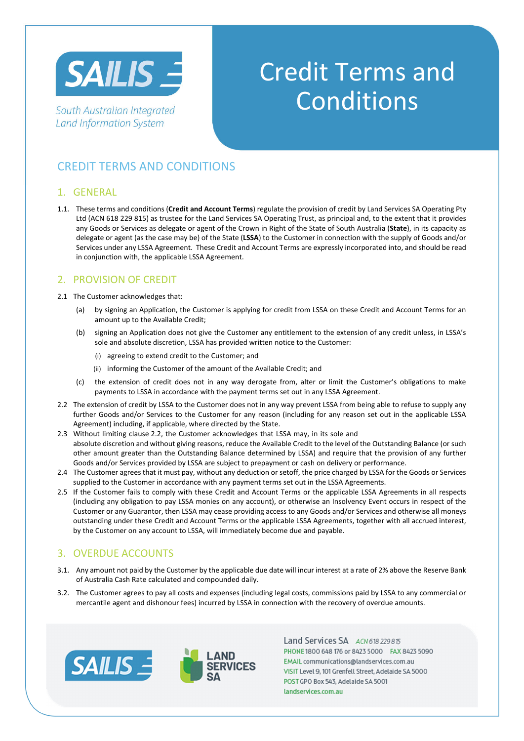

South Australian Integrated **Land Information System** 

# Credit Terms and **Conditions**

# CREDIT TERMS AND CONDITIONS

## 1. GENERAL

1.1. These terms and conditions (**Credit and Account Terms**) regulate the provision of credit by Land Services SA Operating Pty Ltd (ACN 618 229 815) as trustee for the Land Services SA Operating Trust, as principal and, to the extent that it provides any Goods or Services as delegate or agent of the Crown in Right of the State of South Australia (**State**), in its capacity as delegate or agent (as the case may be) of the State (**LSSA**) to the Customer in connection with the supply of Goods and/or Services under any LSSA Agreement. These Credit and Account Terms are expressly incorporated into, and should be read in conjunction with, the applicable LSSA Agreement.

# 2. PROVISION OF CREDIT

- 2.1 The Customer acknowledges that:
	- (a) by signing an Application, the Customer is applying for credit from LSSA on these Credit and Account Terms for an amount up to the Available Credit;
	- (b) signing an Application does not give the Customer any entitlement to the extension of any credit unless, in LSSA's sole and absolute discretion, LSSA has provided written notice to the Customer:
		- (i) agreeing to extend credit to the Customer; and
		- (ii) informing the Customer of the amount of the Available Credit; and
	- (c) the extension of credit does not in any way derogate from, alter or limit the Customer's obligations to make payments to LSSA in accordance with the payment terms set out in any LSSA Agreement.
- 2.2 The extension of credit by LSSA to the Customer does not in any way prevent LSSA from being able to refuse to supply any further Goods and/or Services to the Customer for any reason (including for any reason set out in the applicable LSSA Agreement) including, if applicable, where directed by the State.
- 2.3 Without limiting clause 2.2, the Customer acknowledges that LSSA may, in its sole and absolute discretion and without giving reasons, reduce the Available Credit to the level of the Outstanding Balance (or such other amount greater than the Outstanding Balance determined by LSSA) and require that the provision of any further Goods and/or Services provided by LSSA are subject to prepayment or cash on delivery or performance.
- 2.4 The Customer agrees that it must pay, without any deduction or setoff, the price charged by LSSA for the Goods or Services supplied to the Customer in accordance with any payment terms set out in the LSSA Agreements.
- 2.5 If the Customer fails to comply with these Credit and Account Terms or the applicable LSSA Agreements in all respects (including any obligation to pay LSSA monies on any account), or otherwise an Insolvency Event occurs in respect of the Customer or any Guarantor, then LSSA may cease providing access to any Goods and/or Services and otherwise all moneys outstanding under these Credit and Account Terms or the applicable LSSA Agreements, together with all accrued interest, by the Customer on any account to LSSA, will immediately become due and payable.

# 3. OVERDUE ACCOUNTS

- 3.1. Any amount not paid by the Customer by the applicable due date will incur interest at a rate of 2% above the Reserve Bank of Australia Cash Rate calculated and compounded daily.
- 3.2. The Customer agrees to pay all costs and expenses (including legal costs, commissions paid by LSSA to any commercial or mercantile agent and dishonour fees) incurred by LSSA in connection with the recovery of overdue amounts.





Land Services SA ACN618 229 815 PHONE 1800 648 176 or 8423 5000 FAX 8423 5090 EMAIL communications@landservices.com.au VISIT Level 9, 101 Grenfell Street, Adelaide SA 5000 POST GPO Box 543, Adelaide SA 5001 landservices.com.au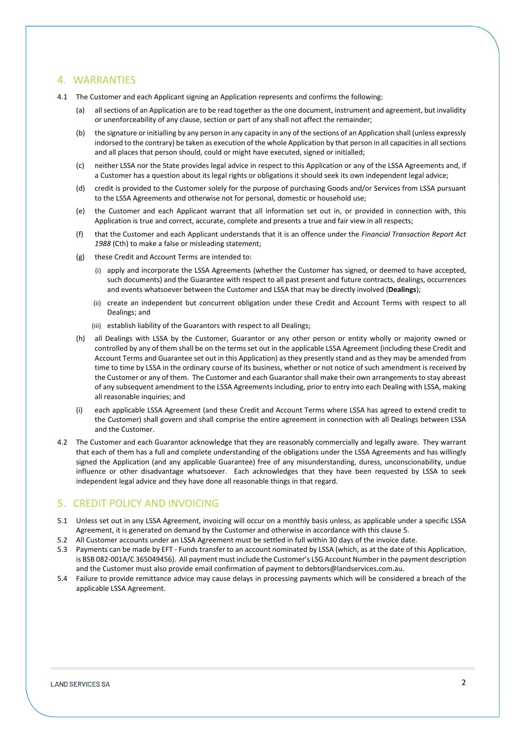#### 4. WARRANTIES

- 4.1 The Customer and each Applicant signing an Application represents and confirms the following:
	- (a) all sections of an Application are to be read together as the one document, instrument and agreement, but invalidity or unenforceability of any clause, section or part of any shall not affect the remainder;
	- (b) the signature or initialling by any person in any capacity in any of the sections of an Application shall (unless expressly indorsed to the contrary) be taken as execution of the whole Application by that person in all capacities in all sections and all places that person should, could or might have executed, signed or initialled;
	- (c) neither LSSA nor the State provides legal advice in respect to this Application or any of the LSSA Agreements and, if a Customer has a question about its legal rights or obligations it should seek its own independent legal advice;
	- (d) credit is provided to the Customer solely for the purpose of purchasing Goods and/or Services from LSSA pursuant to the LSSA Agreements and otherwise not for personal, domestic or household use;
	- (e) the Customer and each Applicant warrant that all information set out in, or provided in connection with, this Application is true and correct, accurate, complete and presents a true and fair view in all respects;
	- (f) that the Customer and each Applicant understands that it is an offence under the *Financial Transaction Report Act 1988* (Cth) to make a false or misleading statement;
	- (g) these Credit and Account Terms are intended to:
		- (i) apply and incorporate the LSSA Agreements (whether the Customer has signed, or deemed to have accepted, such documents) and the Guarantee with respect to all past present and future contracts, dealings, occurrences and events whatsoever between the Customer and LSSA that may be directly involved (**Dealings**);
		- (ii) create an independent but concurrent obligation under these Credit and Account Terms with respect to all Dealings; and
		- (iii) establish liability of the Guarantors with respect to all Dealings;
	- (h) all Dealings with LSSA by the Customer, Guarantor or any other person or entity wholly or majority owned or controlled by any of them shall be on the terms set out in the applicable LSSA Agreement (including these Credit and Account Terms and Guarantee set out in this Application) as they presently stand and as they may be amended from time to time by LSSA in the ordinary course of its business, whether or not notice of such amendment is received by the Customer or any of them. The Customer and each Guarantor shall make their own arrangements to stay abreast of any subsequent amendment to the LSSA Agreements including, prior to entry into each Dealing with LSSA, making all reasonable inquiries; and
	- (i) each applicable LSSA Agreement (and these Credit and Account Terms where LSSA has agreed to extend credit to the Customer) shall govern and shall comprise the entire agreement in connection with all Dealings between LSSA and the Customer.
- 4.2 The Customer and each Guarantor acknowledge that they are reasonably commercially and legally aware. They warrant that each of them has a full and complete understanding of the obligations under the LSSA Agreements and has willingly signed the Application (and any applicable Guarantee) free of any misunderstanding, duress, unconscionability, undue influence or other disadvantage whatsoever. Each acknowledges that they have been requested by LSSA to seek independent legal advice and they have done all reasonable things in that regard.

#### 5. CREDIT POLICY AND INVOICING

- 5.1 Unless set out in any LSSA Agreement, invoicing will occur on a monthly basis unless, as applicable under a specific LSSA Agreement, it is generated on demand by the Customer and otherwise in accordance with this clause 5.
- 5.2 All Customer accounts under an LSSA Agreement must be settled in full within 30 days of the invoice date.
- 5.3 Payments can be made by EFT Funds transfer to an account nominated by LSSA (which, as at the date of this Application, is BSB 082-001A/C 365049456). All payment must include the Customer's LSG Account Number in the payment description and the Customer must also provide email confirmation of payment to debtors@landservices.com.au.
- 5.4 Failure to provide remittance advice may cause delays in processing payments which will be considered a breach of the applicable LSSA Agreement.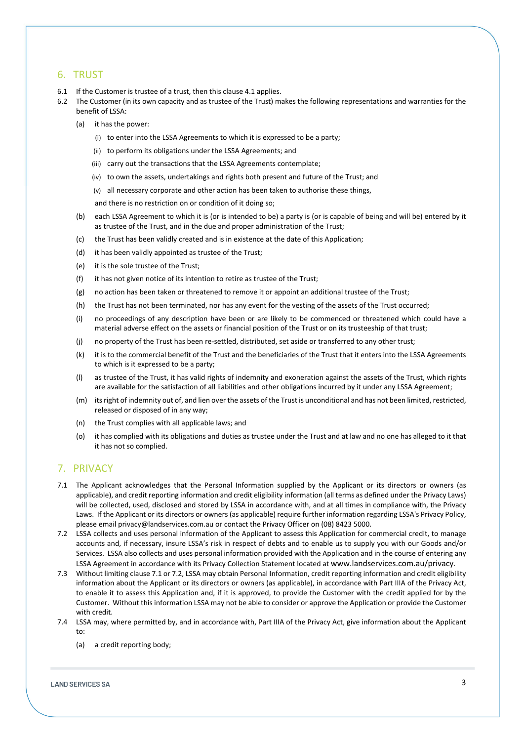## 6. TRUST

- 6.1 If the Customer is trustee of a trust, then this clause 4.1 applies.
- 6.2 The Customer (in its own capacity and as trustee of the Trust) makes the following representations and warranties for the benefit of LSSA:
	- (a) it has the power:
		- (i) to enter into the LSSA Agreements to which it is expressed to be a party;
		- (ii) to perform its obligations under the LSSA Agreements; and
		- (iii) carry out the transactions that the LSSA Agreements contemplate;
		- (iv) to own the assets, undertakings and rights both present and future of the Trust; and
		- (v) all necessary corporate and other action has been taken to authorise these things,

and there is no restriction on or condition of it doing so;

- (b) each LSSA Agreement to which it is (or is intended to be) a party is (or is capable of being and will be) entered by it as trustee of the Trust, and in the due and proper administration of the Trust;
- (c) the Trust has been validly created and is in existence at the date of this Application;
- (d) it has been validly appointed as trustee of the Trust;
- (e) it is the sole trustee of the Trust;
- (f) it has not given notice of its intention to retire as trustee of the Trust;
- (g) no action has been taken or threatened to remove it or appoint an additional trustee of the Trust;
- (h) the Trust has not been terminated, nor has any event for the vesting of the assets of the Trust occurred;
- (i) no proceedings of any description have been or are likely to be commenced or threatened which could have a material adverse effect on the assets or financial position of the Trust or on its trusteeship of that trust;
- (j) no property of the Trust has been re-settled, distributed, set aside or transferred to any other trust;
- (k) it is to the commercial benefit of the Trust and the beneficiaries of the Trust that it enters into the LSSA Agreements to which is it expressed to be a party;
- (l) as trustee of the Trust, it has valid rights of indemnity and exoneration against the assets of the Trust, which rights are available for the satisfaction of all liabilities and other obligations incurred by it under any LSSA Agreement;
- (m) its right of indemnity out of, and lien over the assets of the Trust is unconditional and has not been limited, restricted, released or disposed of in any way;
- (n) the Trust complies with all applicable laws; and
- (o) it has complied with its obligations and duties as trustee under the Trust and at law and no one has alleged to it that it has not so complied.

# 7. PRIVACY

- 7.1 The Applicant acknowledges that the Personal Information supplied by the Applicant or its directors or owners (as applicable), and credit reporting information and credit eligibility information (all terms as defined under the Privacy Laws) will be collected, used, disclosed and stored by LSSA in accordance with, and at all times in compliance with, the Privacy Laws. If the Applicant or its directors or owners (as applicable) require further information regarding LSSA's Privacy Policy, please email privacy@landservices.com.au or contact the Privacy Officer on (08) 8423 5000.
- 7.2 LSSA collects and uses personal information of the Applicant to assess this Application for commercial credit, to manage accounts and, if necessary, insure LSSA's risk in respect of debts and to enable us to supply you with our Goods and/or Services. LSSA also collects and uses personal information provided with the Application and in the course of entering any LSSA Agreement in accordance with its Privacy Collection Statement located at www.landservices.com.au/privacy.
- 7.3 Without limiting clause 7.1 or 7.2, LSSA may obtain Personal Information, credit reporting information and credit eligibility information about the Applicant or its directors or owners (as applicable), in accordance with Part IIIA of the Privacy Act, to enable it to assess this Application and, if it is approved, to provide the Customer with the credit applied for by the Customer. Without this information LSSA may not be able to consider or approve the Application or provide the Customer with credit.
- 7.4 LSSA may, where permitted by, and in accordance with, Part IIIA of the Privacy Act, give information about the Applicant to:
	- (a) a credit reporting body;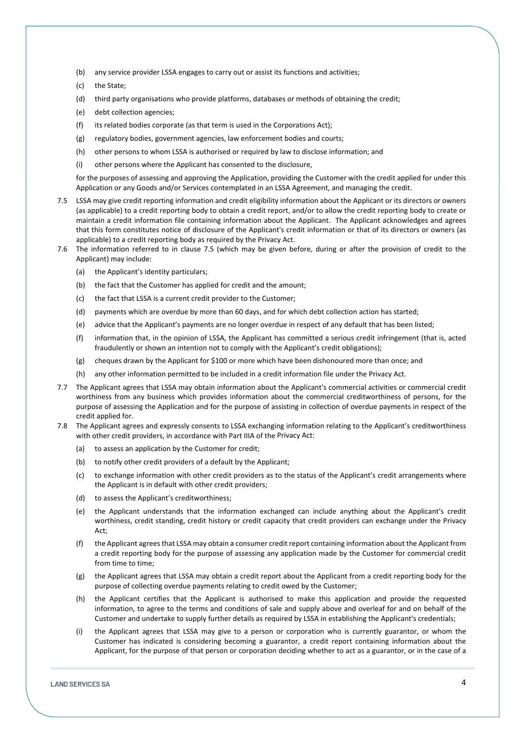- (b) any service provider LSSA engages to carry out or assist its functions and activities;
- (c) the State;
- (d) third party organisations who provide platforms, databases or methods of obtaining the credit;
- (e) debt collection agencies;
- (f) its related bodies corporate (as that term is used in the Corporations Act);
- (g) regulatory bodies, government agencies, law enforcement bodies and courts;
- (h) other persons to whom LSSA is authorised or required by law to disclose information; and
- (i) other persons where the Applicant has consented to the disclosure,

for the purposes of assessing and approving the Application, providing the Customer with the credit applied for under this Application or any Goods and/or Services contemplated in an LSSA Agreement, and managing the credit.

- 7.5 LSSA may give credit reporting information and credit eligibility information about the Applicant or its directors or owners (as applicable) to a credit reporting body to obtain a credit report, and/or to allow the credit reporting body to create or maintain a credit information file containing information about the Applicant. The Applicant acknowledges and agrees that this form constitutes notice of disclosure of the Applicant's credit information or that of its directors or owners (as applicable) to a credit reporting body as required by the Privacy Act.
- 7.6 The information referred to in clause 7.5 (which may be given before, during or after the provision of credit to the Applicant) may include:
	- (a) the Applicant's identity particulars;
	- (b) the fact that the Customer has applied for credit and the amount;
	- (c) the fact that LSSA is a current credit provider to the Customer;
	- (d) payments which are overdue by more than 60 days, and for which debt collection action has started;
	- (e) advice that the Applicant's payments are no longer overdue in respect of any default that has been listed;
	- (f) information that, in the opinion of LSSA, the Applicant has committed a serious credit infringement (that is, acted fraudulently or shown an intention not to comply with the Applicant's credit obligations);
	- (g) cheques drawn by the Applicant for \$100 or more which have been dishonoured more than once; and
	- (h) any other information permitted to be included in a credit information file under the Privacy Act.
- 7.7 The Applicant agrees that LSSA may obtain information about the Applicant's commercial activities or commercial credit worthiness from any business which provides information about the commercial creditworthiness of persons, for the purpose of assessing the Application and for the purpose of assisting in collection of overdue payments in respect of the credit applied for.
- 7.8 The Applicant agrees and expressly consents to LSSA exchanging information relating to the Applicant's creditworthiness with other credit providers, in accordance with Part IIIA of the Privacy Act:
	- (a) to assess an application by the Customer for credit;
	- (b) to notify other credit providers of a default by the Applicant;
	- (c) to exchange information with other credit providers as to the status of the Applicant's credit arrangements where the Applicant is in default with other credit providers;
	- (d) to assess the Applicant's creditworthiness;
	- (e) the Applicant understands that the information exchanged can include anything about the Applicant's credit worthiness, credit standing, credit history or credit capacity that credit providers can exchange under the Privacy Act;
	- (f) the Applicant agrees that LSSA may obtain a consumer credit report containing information about the Applicant from a credit reporting body for the purpose of assessing any application made by the Customer for commercial credit from time to time;
	- (g) the Applicant agrees that LSSA may obtain a credit report about the Applicant from a credit reporting body for the purpose of collecting overdue payments relating to credit owed by the Customer;
	- (h) the Applicant certifies that the Applicant is authorised to make this application and provide the requested information, to agree to the terms and conditions of sale and supply above and overleaf for and on behalf of the Customer and undertake to supply further details as required by LSSA in establishing the Applicant's credentials;
	- (i) the Applicant agrees that LSSA may give to a person or corporation who is currently guarantor, or whom the Customer has indicated is considering becoming a guarantor, a credit report containing information about the Applicant, for the purpose of that person or corporation deciding whether to act as a guarantor, or in the case of a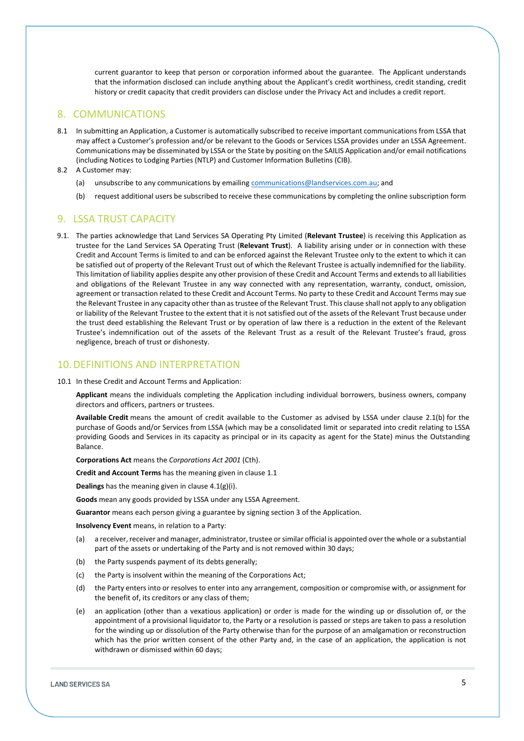current guarantor to keep that person or corporation informed about the guarantee. The Applicant understands that the information disclosed can include anything about the Applicant's credit worthiness, credit standing, credit history or credit capacity that credit providers can disclose under the Privacy Act and includes a credit report.

#### 8. COMMUNICATIONS

- 8.1 In submitting an Application, a Customer is automatically subscribed to receive important communications from LSSA that may affect a Customer's profession and/or be relevant to the Goods or Services LSSA provides under an LSSA Agreement. Communications may be disseminated by LSSA or the State by positing on the SAILIS Application and/or email notifications (including Notices to Lodging Parties (NTLP) and Customer Information Bulletins (CIB).
- 8.2 A Customer may:
	- (a) unsubscribe to any communications by emailing communications@landservices.com.au; and
	- (b) request additional users be subscribed to receive these communications by completing the online subscription form

#### 9. LSSA TRUST CAPACITY

9.1. The parties acknowledge that Land Services SA Operating Pty Limited (**Relevant Trustee**) is receiving this Application as trustee for the Land Services SA Operating Trust (**Relevant Trust**). A liability arising under or in connection with these Credit and Account Terms is limited to and can be enforced against the Relevant Trustee only to the extent to which it can be satisfied out of property of the Relevant Trust out of which the Relevant Trustee is actually indemnified for the liability. This limitation of liability applies despite any other provision of these Credit and Account Terms and extends to all liabilities and obligations of the Relevant Trustee in any way connected with any representation, warranty, conduct, omission, agreement or transaction related to these Credit and Account Terms. No party to these Credit and Account Terms may sue the Relevant Trustee in any capacity other than as trustee of the Relevant Trust. This clause shall not apply to any obligation or liability of the Relevant Trustee to the extent that it is not satisfied out of the assets of the Relevant Trust because under the trust deed establishing the Relevant Trust or by operation of law there is a reduction in the extent of the Relevant Trustee's indemnification out of the assets of the Relevant Trust as a result of the Relevant Trustee's fraud, gross negligence, breach of trust or dishonesty.

# 10.DEFINITIONS AND INTERPRETATION

10.1 In these Credit and Account Terms and Application:

**Applicant** means the individuals completing the Application including individual borrowers, business owners, company directors and officers, partners or trustees.

**Available Credit** means the amount of credit available to the Customer as advised by LSSA under clause 2.1(b) for the purchase of Goods and/or Services from LSSA (which may be a consolidated limit or separated into credit relating to LSSA providing Goods and Services in its capacity as principal or in its capacity as agent for the State) minus the Outstanding Balance.

**Corporations Act** means the *Corporations Act 2001* (Cth).

**Credit and Account Terms** has the meaning given in clause 1.1

**Dealings** has the meaning given in clause 4.1(g)(i).

**Goods** mean any goods provided by LSSA under any LSSA Agreement.

**Guarantor** means each person giving a guarantee by signing section 3 of the Application.

**Insolvency Event** means, in relation to a Party:

- (a) a receiver, receiver and manager, administrator, trustee or similar official is appointed over the whole or a substantial part of the assets or undertaking of the Party and is not removed within 30 days;
- (b) the Party suspends payment of its debts generally;
- (c) the Party is insolvent within the meaning of the Corporations Act;
- (d) the Party enters into or resolves to enter into any arrangement, composition or compromise with, or assignment for the benefit of, its creditors or any class of them;
- (e) an application (other than a vexatious application) or order is made for the winding up or dissolution of, or the appointment of a provisional liquidator to, the Party or a resolution is passed or steps are taken to pass a resolution for the winding up or dissolution of the Party otherwise than for the purpose of an amalgamation or reconstruction which has the prior written consent of the other Party and, in the case of an application, the application is not withdrawn or dismissed within 60 days;